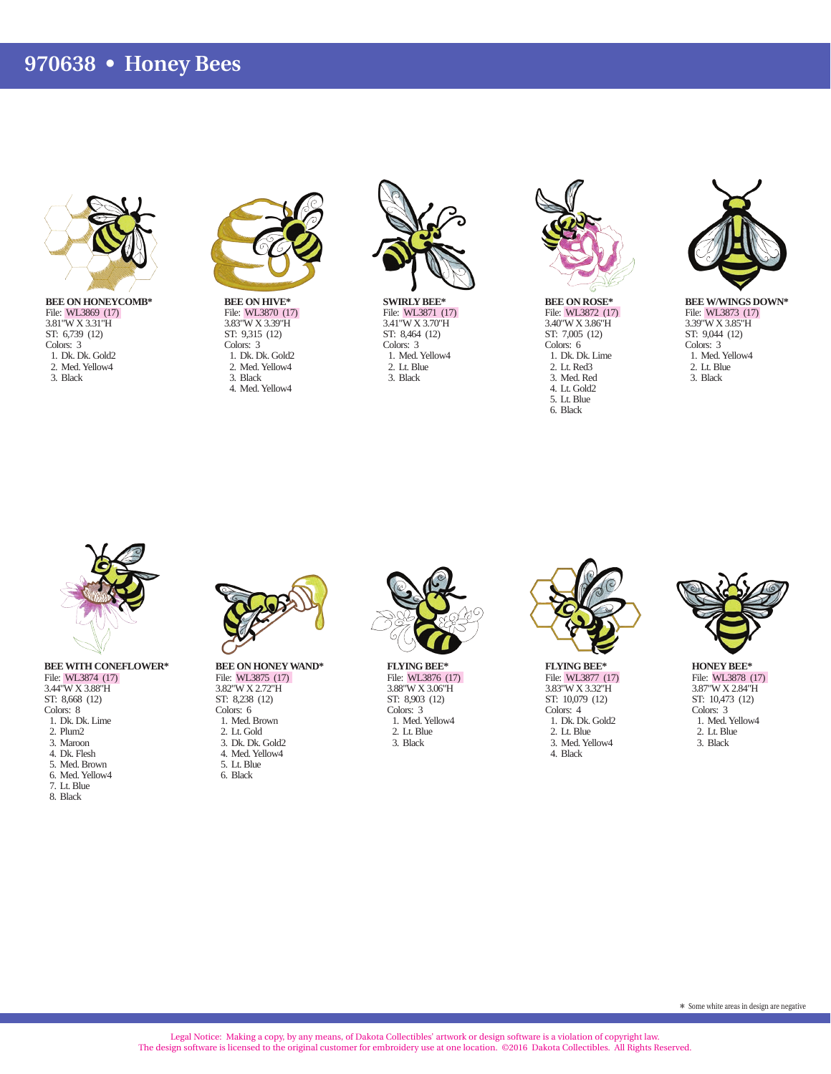## **970638 • Honey Bees**



**BEE ON HONEYCOMB\*** File: WL3869 (17) 3.81"W X 3.31"H ST: 6,739 (12) Colors: 3 1. Dk. Dk. Gold2 2. Med. Yellow4 3. Black



**BEE ON HIVE\*** File: WL3870 (17) 3.83"W X 3.39"H ST: 9,315 (12) Colors: 3 1. Dk. Dk. Gold2 2. Med. Yellow4 3. Black 4. Med. Yellow4



**SWIRLY BEE\*** File: WL3871 (17) 3.41"W X 3.70"H ST: 8,464 (12) Colors: 3 1. Med. Yellow4 2. Lt. Blue 3. Black



**BEE ON ROSE\*** File: WL3872 (17) 3.40"W X 3.86"H ST: 7,005 (12) Colors: 6 1. Dk. Dk. Lime 2. Lt. Red3 3. Med. Red 4. Lt. Gold2 5. Lt. Blue 6. Black



**BEE W/WINGS DOWN\*** File: WL3873 (17) 3.39"W X 3.85"H ST: 9,044 (12) Colors: 3 1. Med. Yellow4 2. Lt. Blue 3. Black



File: WL3874 (17) 3.44"W X 3.88"H ST: 8,668 (12) Colors: 8 1. Dk. Dk. Lime 2. Plum2 3. Maroon 4. Dk. Flesh 5. Med. Brown 6. Med. Yellow4 7. Lt. Blue 8. Black



**BEE ON HONEY WAND\*** File: WL3875 (17) 3.82"W X 2.72"H ST: 8,238 (12) Colors: 6 1. Med. Brown 2. Lt. Gold 3. Dk. Dk. Gold2 4. Med. Yellow4 5. Lt. Blue 6. Black



**FLYING BEE\*** File: WL3876 (17) 3.88"W X 3.06"H ST: 8,903 (12) Colors: 3 1. Med. Yellow4 2. Lt. Blue 3. Black



**FLYING BEE\*** File: WL3877 (17) 3.83"W X 3.32"H ST: 10,079 (12) Colors: 4 1. Dk. Dk. Gold2 2. Lt. Blue 3. Med. Yellow4 4. Black



**HONEY BEE\*** File: WL3878 (17) 3.87"W X 2.84"H ST: 10,473 (12) Colors: 3 1. Med. Yellow4 2. Lt. Blue 3. Black